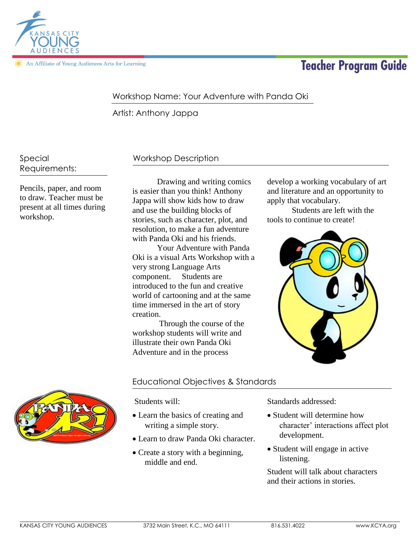

An Affiliate of Young Audiences Arts for Learning

# **Teacher Program Guide**

# Workshop Name: Your Adventure with Panda Oki

Artist: Anthony Jappa

Special Requirements:

Pencils, paper, and room to draw. Teacher must be present at all times during workshop.

# Workshop Description

Drawing and writing comics is easier than you think! Anthony Jappa will show kids how to draw and use the building blocks of stories, such as character, plot, and resolution, to make a fun adventure with Panda Oki and his friends.

Your Adventure with Panda Oki is a visual Arts Workshop with a very strong Language Arts component. Students are introduced to the fun and creative world of cartooning and at the same time immersed in the art of story creation.

Through the course of the workshop students will write and illustrate their own Panda Oki Adventure and in the process

develop a working vocabulary of art and literature and an opportunity to apply that vocabulary.

Students are left with the tools to continue to create!





# Educational Objectives & Standards

Students will:

- Learn the basics of creating and writing a simple story.
- Learn to draw Panda Oki character.
- Create a story with a beginning, middle and end.

Standards addressed:

- Student will determine how character' interactions affect plot development.
- Student will engage in active listening.

Student will talk about characters and their actions in stories.